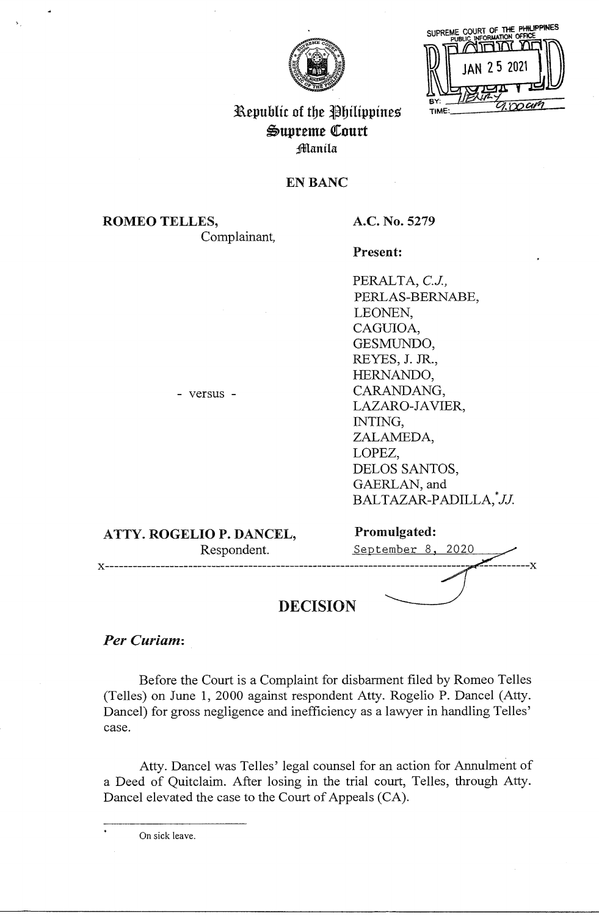|   | SUPREME COURT OF THE PHILIPPINES<br>PUBLIC INFORMATION OFFICE |  |
|---|---------------------------------------------------------------|--|
|   | $= \pi \pi$ $\pi$                                             |  |
|   | N 25 2021                                                     |  |
|   |                                                               |  |
| B |                                                               |  |
|   |                                                               |  |



# Republic of the Philippines Supreme Court **Manila**

# **EN BANC**

**ROMEO TELLES,**  Complainant,

- versus -

**A.C. No. 5279** 

**Present:** 

PERALTA, *CJ.,*  PERLAS-BERNABE, LEONEN, CAGUIOA, GESMUNDO, REYES, J. JR., HERNANDO, CARANDANG, LAZARO-JAVIER, INTING, ZALAMEDA, LOPEZ, DELOS SANTOS, GAERLAN, and BALTAZAR-PADILLA, JJ.

| ATTY. ROGELIO P. DANCEL, | Promulgated:      |
|--------------------------|-------------------|
| Respondent.              | September 8, 2020 |
|                          |                   |
| <b>DECISION</b>          |                   |

*Per Curiam:* 

Before the Court is a Complaint for disbarment filed by Romeo Telles (Telles) on June 1, 2000 against respondent Atty. Rogelio P. Dancel (Atty. Dancel) for gross negligence and inefficiency as a lawyer in handling Telles' case.

Atty. Dancel was Telles' legal counsel for an action for Annulment of a Deed of Quitclaim. After losing in the trial court, Telles, through Atty. Dancel elevated the case to the Court of Appeals (CA).

On sick leave.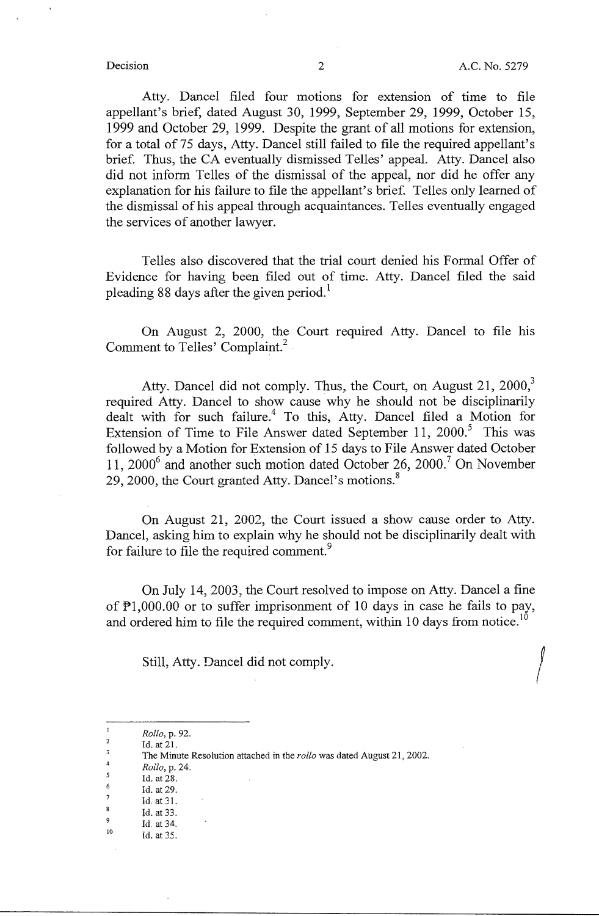$\int$ 

Atty. Dancel filed four motions for extension of time to file appellant's brief, dated August 30, 1999, September 29, 1999, October 15, 1999 and October 29, 1999. Despite the grant of all motions for extension, for a total of 75 days, Atty. Dancel still failed to file the required appellant's brief. Thus, the CA eventually dismissed Telles' appeal. Atty. Dancel also did not inform Telles of the dismissal of the appeal, nor did he offer any explanation for his failure to file the appellant's brief. Telles only learned of the dismissal of his appeal through acquaintances. Telles eventually engaged the services of another lawyer.

Telles also discovered that the trial court denied his Formal Offer of Evidence for having been filed out of time. Atty. Dancel filed the said pleading 88 days after the given period.<sup>1</sup>

On August 2, 2000, the Court required Atty. Dancel to file his Comment to Telles' Complaint. $^2$ 

Atty. Dancel did not comply. Thus, the Court, on August 21,  $2000<sup>3</sup>$ required Atty. Dancel to show cause why he should not be disciplinarily dealt with for such failure.<sup>4</sup> To this, Atty. Dancel filed a Motion for Extension of Time to File Answer dated September 11, 2000.<sup>5</sup> This was followed by a Motion for Extension of 15 days to File Answer dated October 11, 2000<sup>6</sup> and another such motion dated October 26, 2000.<sup>7</sup> On November 29, 2000, the Court granted Atty. Dancel's motions. <sup>8</sup>

On August 21, 2002, the Court issued a show cause order to Atty. Dancel, asking him to explain why he should not be disciplinarily dealt with for failure to file the required comment.<sup>9</sup>

On July 14, 2003, the Court resolved to impose on Atty. Dancel a fine of  $\overline{P}1,000.00$  or to suffer imprisonment of 10 days in case he fails to pay, and ordered him to file the required comment, within 10 days from notice.<sup>10</sup>

Still, Atty. Dancel did not comply.

- 8 Id, at 31.
- 9 Jd. at 33. Id. at 34\_
- 10 Id. at 35.

 $\,$   $\,$   $\,$ *Rollo,* p. 92.

 $\,2$ Id. at 21.  $\overline{\mathbf{3}}$ 

The Minute Resolution attached in the *rollo* was dated August 21, 2002.

<sup>4</sup>  *Rollo,* p. 24.

*<sup>5</sup>*  Id. at 28.

<sup>6</sup>  7 Id. at 29.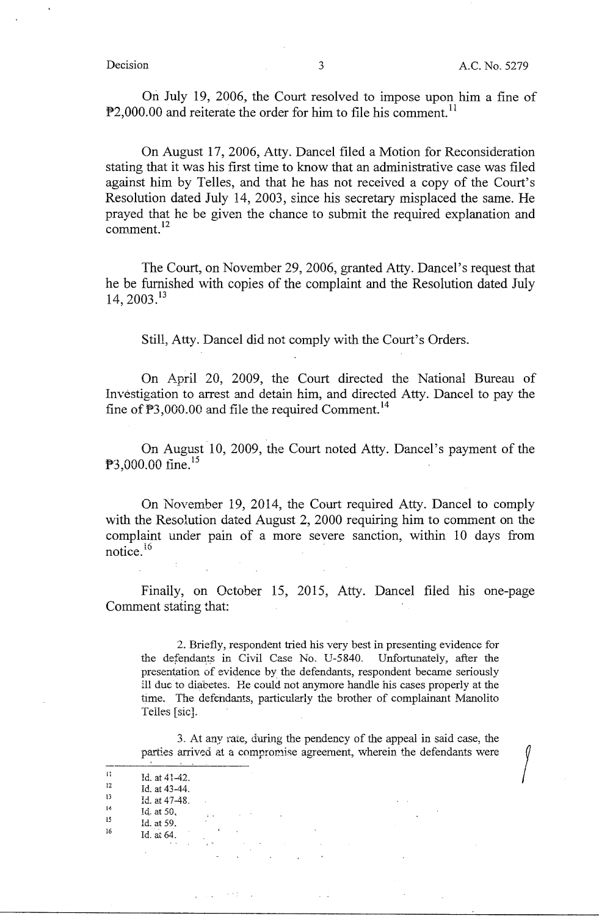$\int$ 

Ori July 19, 2006, the Court resolved to impose upon him a fine of  $\mathbb{P}2,000.00$  and reiterate the order for him to file his comment.<sup>11</sup>

On August 17, 2006, Atty. Dancel filed a Motion for Reconsideration stating that it was his first time to know that an administrative case was filed against him by Telles, and that he has not received a copy of the Court's Resolution dated July 14, 2003, since his secretary misplaced the same. He prayed that he be given the chance to submit the required explanation and **<sup>12</sup>**comment.

The Court, on November 29, 2006, granted Atty. Dancel's request that he be furnished with copies of the complaint and the Resolution dated July  $14, 2003.<sup>13</sup>$ 

Still, Atty. Dancel did not comply with the Court's Orders.

On April 20, 2009, the Court directed the National Bureau of Investigation to arrest and detain him, and directed Atty. Dancel to pay the fine of  $\mathbb{P}3,000.00$  and file the required Comment.<sup>14</sup>

On August 10, 2009, the Court noted Atty. Dancel's payment of the **P**3,000.00 fine.<sup>15</sup>

On November 19, 2014, the Court required Atty. Dancel to comply with the Resolution dated August 2, 2000 requiring him to comment on the complaint under pain of a more severe sanction, within 10 days from notice.<sup>16</sup>

Finaily, on October 15, 2015, Atty. Dancel filed his one-page Comment stating that:

2. Briefly, respondent tried his very best in presenting evidence for the defendants in Civil Case No. U-5840. Unfortunately, after the presentation of evidence by the defendants, respondent became seriously ill due to diabetes. He could not anymore handle his cases properly at the time. The defendants, particularly the brother of complainant Manolito Teiles [sic].

3. At any rate, during the pendency of the appeal in said case, the parties arrived at a compromise agreement, wherein the defendants were

**11 12 13 14 15**  16 Id. at 41-42. Id. at 43-44. Id. at 47-48. Id. at 50, Id. at 59. Id. at 64.

 $\sim$   $\times$   $\times$   $\times$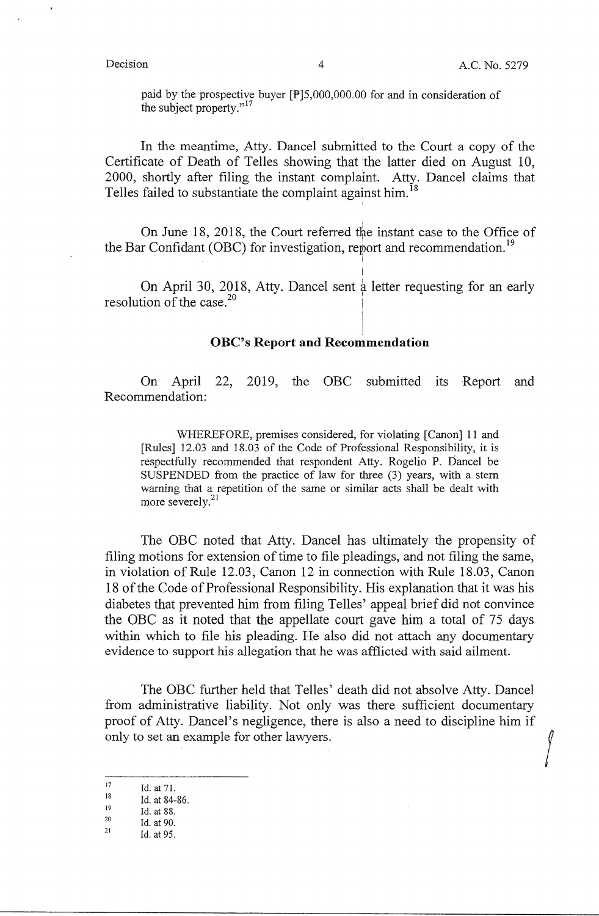$\int$ 

paid by the prospective buyer  $[$   $]$ 5,000,000.00 for and in consideration of the subject property."<sup>17</sup>

In the meantime, Atty. Dancel submitted to the Court a copy of the Certificate of Death of Telles showing that the latter died on August 10, 2000, shortly after filing the instant complaint. Atty. Dancel claims that Telles failed to substantiate the complaint against him.<sup>18</sup>

On June 18, 2018, the Court referred the instant case to the Office of the Bar Confidant (OBC) for investigation, report and recommendation.<sup>19</sup>

> ! i

I I

On April 30, 2018, Atty. Dancel sent  $\frac{1}{4}$  letter requesting for an early resolution of the case.<sup>20</sup>  $20$ 

### **OBC's Report and Recommendation**

On April 22, 2019, the OBC submitted its Report and Recommendation:

WHEREFORE, premises considered, for violating [Canon] 11 and [Rules] 12.03 and 18.03 of the Code of Professional Responsibility, it is respectfully recommended that respondent Atty. Rogelio P. Dancel be SUSPENDED from the practice of law for three (3) years, with a stem warning that a repetition of the same or similar acts shall be dealt with more severely.<sup>21</sup>

The OBC noted that Atty. Dancel has ultimately the propensity of filing motions for extension of time to file pleadings, and not filing the same, in violation of Rule 12.03, Canon 12 in connection with Rule 18.03, Canon 18 of the Code of Professional Responsibility. His explanation that it was his diabetes that prevented him from filing Telles' appeal brief did not convince the OBC as it noted that the appellate court gave him a total of 75 days within which to file his pleading. He also did not attach any documentary evidence to support his allegation that he was afflicted with said ailment.

The OBC further held that Telles' death did not absolve Atty. Dancel from administrative liability. Not only was there sufficient documentary proof of Atty. Dancel's negligence, there is also a need to discipline him if only to set an example for other lawyers.

**<sup>21</sup>**Id. at 95.

 $17$  Id. at 71.

 $\frac{18}{19}$  Id. at 84-86.

 $19$  Id. at 88.<br>  $20$  Id. at 90.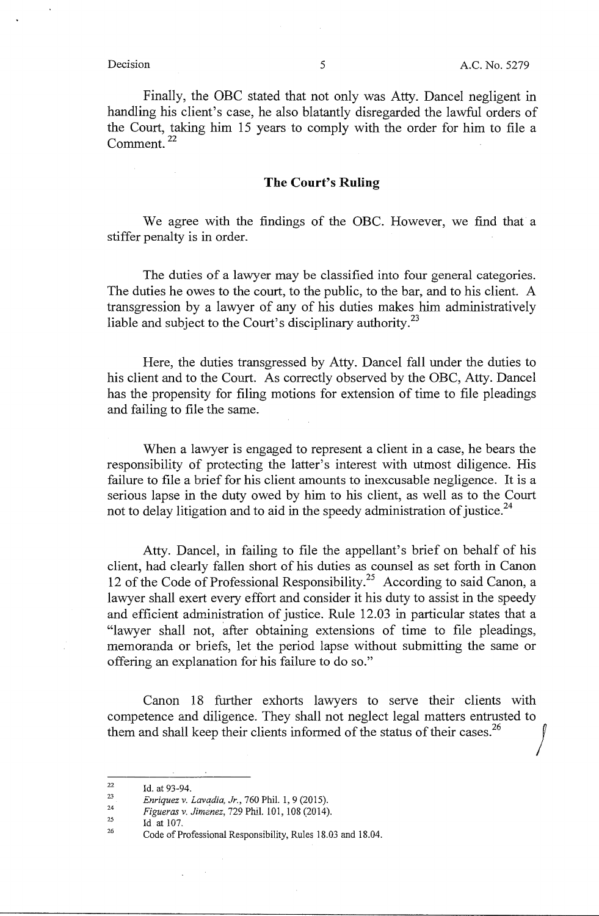Finally, the OBC stated that not only was Atty. Dancel negligent in handling his client's case, he also blatantly disregarded the lawful orders of the Court, taking him 15 years to comply with the order for him to file a Comment. 22

### **The Court's Ruling**

We agree with the findings of the OBC. However, we find that a stiffer penalty is in order.

The duties of a lawyer may be classified into four general categories. The duties he owes to the court, to the public, to the bar, and to his client. A transgression by a lawyer of any of his duties makes him administratively liable and subject to the Court's disciplinary authority.<sup>23</sup>

Here, the duties transgressed by Atty. Dancel fall under the duties to his client and to the Court. As correctly observed by the OBC, Atty. Dancel has the propensity for filing motions for extension of time to file pleadings and failing to file the same.

When a lawyer is engaged to represent a client in a case, he bears the responsibility of protecting the latter's interest with utmost diligence. His failure to file a brief for his client amounts to inexcusable negligence. It is a serious lapse in the duty owed by him to his client, as well as to the Court not to delay litigation and to aid in the speedy administration of justice.<sup>24</sup>

Atty. Dancel, in failing to file the appellant's brief on behalf of his client, had clearly fallen short of his duties as counsel as set forth in Canon 12 of the Code of Professional Responsibility.<sup>25</sup> According to said Canon, a lawyer shall exert every effort and consider it his duty to assist in the speedy and efficient administration of justice. Rule 12.03 in particular states that a "lawyer shall not, after obtaining extensions of time to file pleadings, memoranda or briefs, let the period lapse without submitting the same or offering an explanation for his failure to do so."

Canon 18 further exhorts lawyers to serve their clients with competence and diligence. They shall not neglect legal matters entrusted to them and shall keep their clients informed of the status of their cases.<sup>26</sup> them and shall keep their clients informed of the status of their cases.<sup>26</sup>

<sup>22</sup>  Id. at 93-94.

<sup>23</sup>  *Enriquez v. Lavadia, Jr., 760 Phil. 1, 9 (2015).* 

<sup>24</sup>  *Figueras v. Jimenez,* 729 Phil. 101, 108 (2014).

<sup>25</sup>  Id at 107.

<sup>26</sup>  Code of Professional Responsibility, Rules 18.03 and 18.04.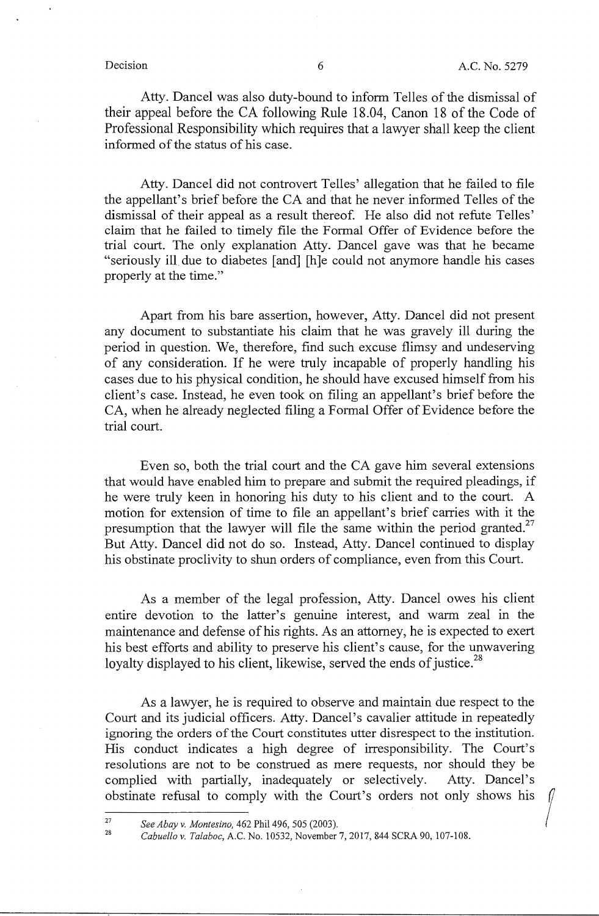Atty. Dancel was also duty-bound to inform Telles of the dismissal of their appeal before the CA following Rule 18.04, Canon 18 of the Code of Professional Responsibility which requires that a lawyer shall keep the client informed of the status of his case.

Atty. Dancel did not controvert Telles' allegation that he failed to file the appellant's brief before the CA and that he never informed Telles of the dismissal of their appeal as a result thereof. He also did not refute Telles' claim that he failed to timely file the Formal Offer of Evidence before the trial court. The only explanation Atty. Dancel gave was that he became "seriously ill. due to diabetes [ and] [h ]e could not anymore handle his cases properly at the time."

Apart from his bare assertion, however, Atty. Dancel did not present any document to substantiate his claim that he was gravely ill during the period in question. We, therefore, find such excuse flimsy and undeserving of any consideration. If he were truly incapable of properly handling his cases due to his physical condition, he should have excused himself from his client's case. Instead, he even took on filing an appellant's brief before the CA, when he already neglected filing a Formal Offer of Evidence before the trial court.

Even so, both the trial court and the CA gave him several extensions that would have enabled him to prepare and submit the required pleadings, if he were truly keen in honoring his duty to his client and to the court. A motion for extension of time to file an appellant's brief carries with it the presumption that the lawyer will file the same within the period granted.<sup>27</sup> But Atty. Dancel did not do so. Instead, Atty. Dancel continued to display his obstinate proclivity to shun orders of compliance, even from this Court.

As a member of the legal profession, Atty. Dancel owes his client entire devotion to the latter's genuine interest, and warm zeal in the maintenance and defense of his rights. As an attorney, he is expected to exert his best efforts and ability to preserve his client's cause, for the unwavering loyalty displayed to his client, likewise, served the ends of justice.<sup>28</sup>

As a lawyer, he is required to observe and maintain due respect to the Court and its judicial officers. Atty. Dancel's cavalier attitude in repeatedly ignoring the orders of the Court constitutes utter disrespect to the institution. His conduct indicates a high degree of irresponsibility. The Court's resolutions are not to be construed as mere requests, nor should they be complied with partially, inadequately or selectively. Atty. Dancel's obstinate refusal to comply with the Court's orders not only shows his *lo* 

<sup>27</sup>*See Abay v. Montesino,* 462 Phil 496, 505 (2003).

**<sup>28</sup>***Cabuello v. Talaboc,* A.C. No. 10532, November 7, 2017, 844 SCRA 90, 107-108.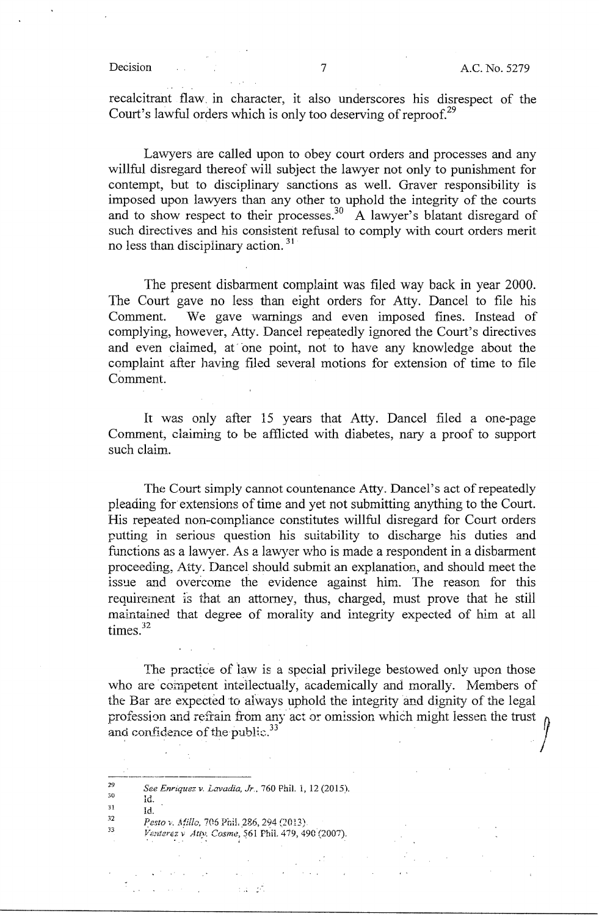recalcitrant flaw. in character, it also underscores his disrespect of the Court's lawful orders which is only too deserving of reproof.<sup>29</sup>

Lawyers are called upon to obey court orders and processes and any willful disregard thereof will subject the lawyer not only to punishment for contempt, but to disciplinary sanctions as well. Graver responsibility is imposed upon lawyers than any other to uphold the integrity of the courts and to show respect to their processes.<sup>30</sup> A lawyer's blatant disregard of such directives and his consistent refusal to comply with court orders merit no less than disciplinary action. 31 ·

The present disbarment complaint was filed way back in year 2000. The Court gave no less than eight orders for Atty. Dancel to file his Comment. We gave warnings and even imposed fines. Instead of complying, however, Atty. Dancel repeatedly ignored the Court's directives and even claimed, at one point, not to have any knowledge about the complaint after having filed several motions for extension of time to file Comment.

It was only after 15 years that Atty. Dancel filed a one-page Comment, claiming to be afflicted with diabetes, nary a proof to support such claim.

The Court simply cannot countenance Atty. Dancel's act of repeatedly pleading for extensions of time and yet not submitting anything to the Court. His repeated non-compliance constitutes willful disregard for Court orders putting in serious question his suitability to discharge his duties and functions as a lawyer. As a lawyer who is made a respondent in a disbarment proceeding, Atty. Dancel\_ should submit an explanation, and should meet the issue and overcome the evidence against him. The reason for this requirement is that an attorney, thus, charged, must prove that he still maintained that degree of morality and integrity expected of him at all times. $^{32}$ 

The practice of law is a special privilege bestowed only upon those who are competent intellectually, academically and morally. Members of the Bar are expected to always uphold the integrity and dignity of the legal profession and refrain from any act or omission which might lessen the trust and confidence of the public. $^{33}$ 

 $\sim 10^{-11}$ 

29 30 *See Enriquez v. Lavadia, Jr.,* 760 Phil. 1, 12 (2015).

31 Id. Id.

 $\mathcal{L}^{\text{max}}$ 

 $\mathcal{L}(\mathcal{L}^{\mathcal{L}}(\mathcal{L}^{\mathcal{L}}(\mathcal{L}^{\mathcal{L}}(\mathcal{L}^{\mathcal{L}}(\mathcal{L}^{\mathcal{L}}(\mathcal{L}^{\mathcal{L}}(\mathcal{L}^{\mathcal{L}}(\mathcal{L}^{\mathcal{L}}(\mathcal{L}^{\mathcal{L}}(\mathcal{L}^{\mathcal{L}}(\mathcal{L}^{\mathcal{L}}(\mathcal{L}^{\mathcal{L}}(\mathcal{L}^{\mathcal{L}}(\mathcal{L}^{\mathcal{L}}(\mathcal{L}^{\mathcal{L}}(\mathcal{L}^{\mathcal{L}}(\mathcal{L}$ 

 $\mathcal{L}^{\mathcal{L}}(\mathcal{L}^{\mathcal{L}}(\mathcal{L}^{\mathcal{L}}(\mathcal{L}^{\mathcal{L}}(\mathcal{L}^{\mathcal{L}}(\mathcal{L}^{\mathcal{L}}(\mathcal{L}^{\mathcal{L}}(\mathcal{L}^{\mathcal{L}}(\mathcal{L}^{\mathcal{L}}(\mathcal{L}^{\mathcal{L}}(\mathcal{L}^{\mathcal{L}}(\mathcal{L}^{\mathcal{L}}(\mathcal{L}^{\mathcal{L}}(\mathcal{L}^{\mathcal{L}}(\mathcal{L}^{\mathcal{L}}(\mathcal{L}^{\mathcal{L}}(\mathcal{L}^{\mathcal{L$ 

33 *Venterez v Atty. Cosme,* 561 Phil. 479, 490 (2007).

 $\varphi_{\rm{max}}(\omega)$  , and  $\varphi$ 

ಾಡಿ ಭಟ

<sup>32</sup>  Pesto *v. Millo, 706 Phil.* 286, 294 (2013).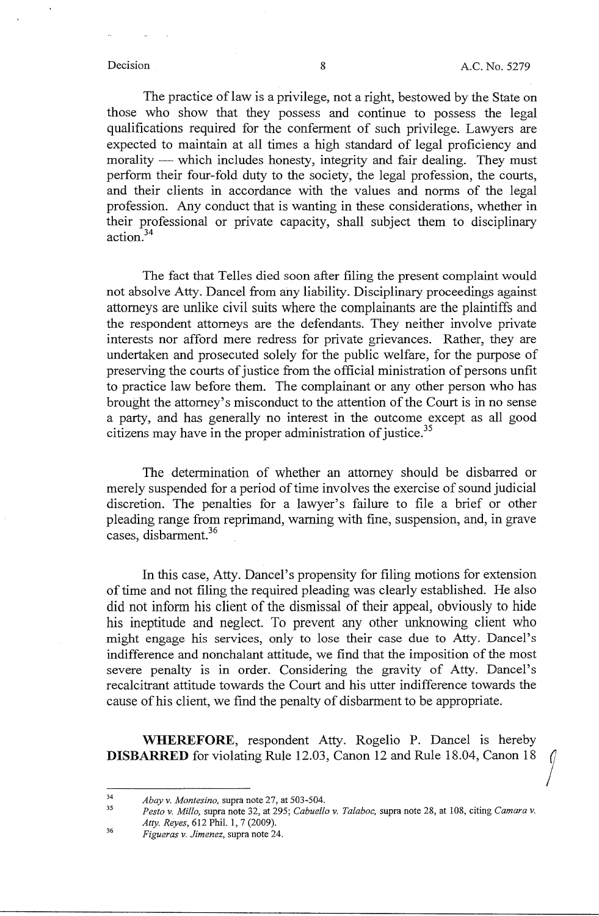The practice of law is a privilege, not a right, bestowed by the State on those who show that they possess and continue to possess the legal qualifications required for the conferment of such privilege. Lawyers are expected to maintain at all times a high standard of legal proficiency and  $morality$  which includes honesty, integrity and fair dealing. They must perform their four-fold duty to the society, the legal profession, the courts, and their clients in accordance with the values and norms of the legal profession. Any conduct that is wanting in these considerations, whether in their professional or private capacity, shall subject them to disciplinary action.<sup>34</sup>

The fact that Telles died soon after filing the present complaint would not absolve Atty. Dancel from any liability. Disciplinary proceedings against attorneys are unlike civil suits where the complainants are the plaintiffs and the respondent attorneys are the defendants. They neither involve private interests nor afford mere redress for private grievances. Rather, they are undertaken and prosecuted solely for the public welfare, for the purpose of preserving the courts of justice from the official ministration of persons unfit to practice law before them. The complainant or any other person who has brought the attorney's misconduct to the attention of the Court is in no sense a party, and has generally no interest in the outcome except as all good citizens may have in the proper administration of justice.<sup>35</sup>

The determination of whether an attorney should be disbarred or merely suspended for a period of time involves the exercise of sound judicial discretion. The penalties for a lawyer's failure to file a brief or other pleading range from reprimand, warning with fine, suspension, and, in grave cases, disbarment.<sup>36</sup>

In this case, Atty. Dancel's propensity for filing motions for extension of time and not filing the required pleading was clearly established. He also did not inform his client of the dismissal of their appeal, obviously to hide his ineptitude and neglect. To prevent any other unknowing client who might engage his services, only to lose their case due to Atty. Dancel's indifference and nonchalant attitude, we find that the imposition of the most severe penalty is in order. Considering the gravity of Atty. Dancel's recalcitrant attitude towards the Court and his utter indifference towards the cause of his client, we find the penalty of disbarment to be appropriate.

**WHEREFORE,** respondent Atty. Rogelio P. Dancel is hereby **DISBARRED** for violating Rule 12.03, Canon 12 and Rule 18.04, Canon 18

<sup>34</sup>  *Abay v. Montesino,* supra note 27, at 503-504.

<sup>35</sup>  *Pesto v. Milla,* supra note 32, at 295; *Cabuello v. Talaboc,* supra note 28, at 108, citing *Camara v. Atty. Reyes,* 612 Phil. 1, 7 (2009).

<sup>36</sup>  *Figueras v. Jimenez,* supra note 24.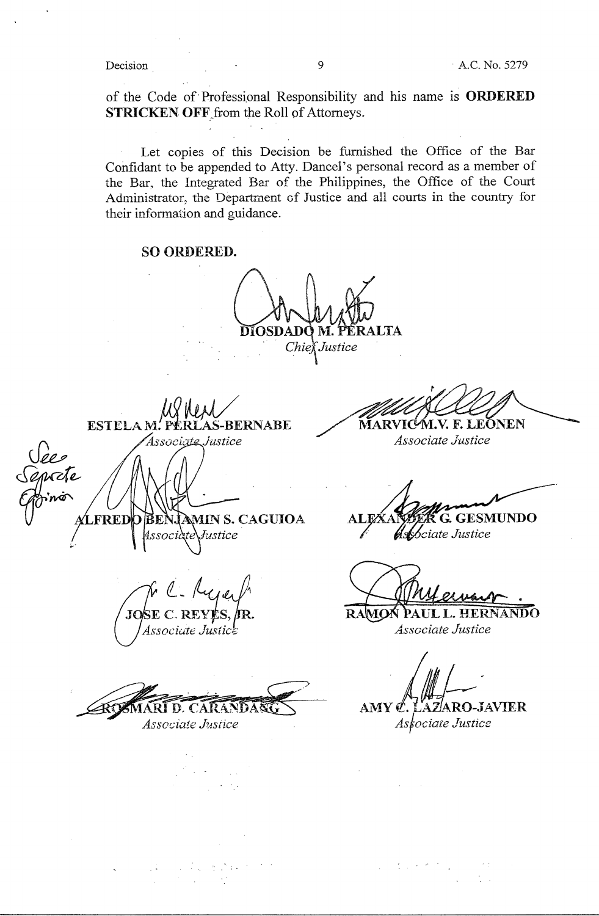of the Code of·Professional Responsibility and his name is **ORDERED STRICKEN OFF** from the Roll of Attorneys.

Let copies of this Decision be furnished the Office of the Bar Confidant to be appended to Atty. Dancel's personal record as a member of the Bar, the Integrated Bar of the Philippines, the Office of the Court Administrator, the Department of Justice and all courts in the country for their information and guidance.

# **SO ORDERED.**

DIOSDADO Chief Justice

**ESTELA M. PERLAS-BERNABE**<br>*Associate Justice* nate **JAMIN S. CAGUIOA FREDO** BEI Justice sociàte

 $e.$  Ayerf C. REYI *Associate Justic-s* 

MARI D. CARANDAN *Asso:.:iate Justice* 

 $\sigma$  ,  $\sigma$  ,  $\sigma$  ,  $\sigma$  $\mathcal{L}^{\text{max}}_{\text{max}}$  , where  $\mathcal{L}^{\text{max}}_{\text{max}}$ 

 $\label{eq:1} \frac{1}{\sqrt{2}}\left(\frac{1}{\sqrt{2}}\right)^{2}=\frac{1}{2}\left(\frac{1}{\sqrt{2}}\right)^{2}=\frac{1}{2}\left(\frac{1}{\sqrt{2}}\right)^{2}=\frac{1}{2}\left(\frac{1}{\sqrt{2}}\right)^{2}$ 

្រុងជ្រើនទាក់

**MARVICM.V. F. LEONEN** *Associate Justice* 

**EG. GESMUNDO Ast**ociate Justice

**RAMO** PAUL L. HER ANDO

*Associate Justice* 

**AMY**  $\mathcal{C}$ **. L'AZ/ARO-JAVIER** *As/ociate Justice* 

 $\label{eq:2.1} \frac{1}{2} \left[ \frac{1}{2} \left( \frac{1}{2} \left( \frac{1}{2} \left( \frac{1}{2} \frac{1}{2} \frac{1}{2} \right) \right) \right) \right] \frac{1}{2} \left( \frac{1}{2} \left( \frac{1}{2} \frac{1}{2} \frac{1}{2} \right) \right)$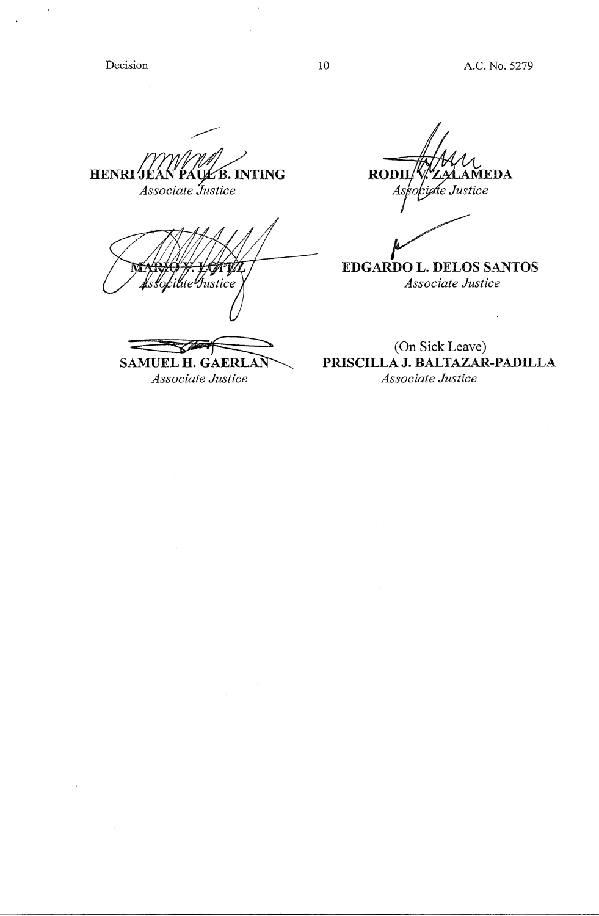Decision

**HENRIJÉA** B. INTING *Associate Justice* 

telJustice

SAMUEL H. GAERLAN *Associate Justice* 

**RODI** EDA bidte Justice

**EDGARDO L. DELOS SANTOS**  *Associate Justice* 

(On Sick Leave) **PRISCILLAJ. BALTAZAR-PADILLA**  *Associate Justice*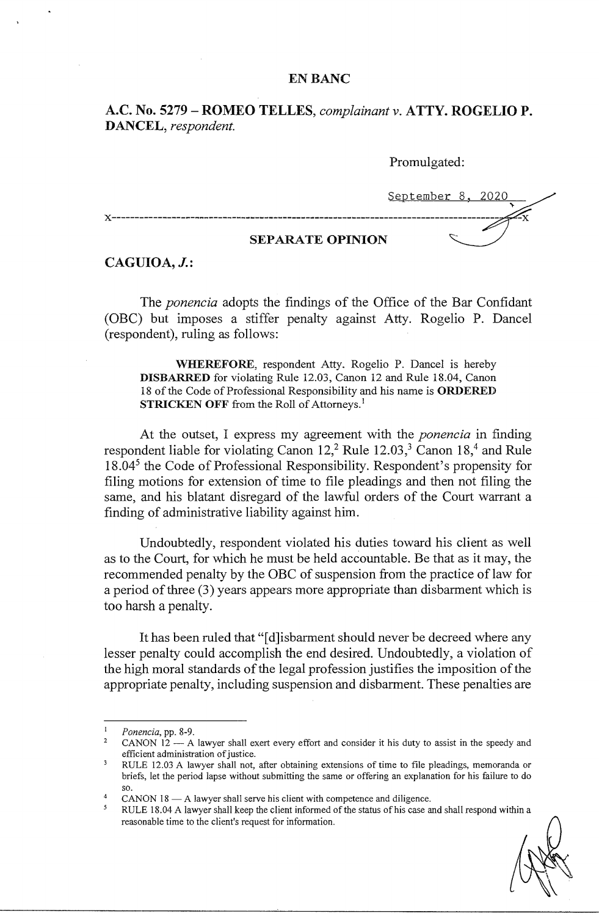# **EN BANC**

**A.C. No. 5279** - **ROMEO TELLES,** *complainant v.* **ATTY. ROGELIO P. DANCEL,** *respondent.* 

Promulgated:

|                         | September 8, 202 |  |
|-------------------------|------------------|--|
|                         |                  |  |
| <b>SEPARATE OPINION</b> |                  |  |

## **CAGUIOA, J.:**

The *ponencia* adopts the findings of the Office of the Bar Confidant (OBC) but imposes a stiffer penalty against Atty. Rogelio P. Dancel (respondent), ruling as follows:

**WHEREFORE,** respondent Atty. Rogelio P. Dancel is hereby **DISBARRED** for violating Rule 12.03, Canon 12 and Rule 18.04, Canon 18 of the Code of Professional Responsibility and his name is **ORDERED STRICKEN OFF** from the Roll of Attorneys.<sup>1</sup>

At the outset, I express my agreement with the *ponencia* in finding respondent liable for violating Canon  $12<sup>2</sup>$  Rule  $12.03<sup>3</sup>$  Canon  $18<sup>4</sup>$  and Rule 18.045 the Code of Professional Responsibility. Respondent's propensity for filing motions for extension of time to file pleadings and then not filing the same, and his blatant disregard of the lawful orders of the Court warrant a finding of administrative liability against him.

Undoubtedly, respondent violated his duties toward his client as well as to the Court, for which he must be held accountable. Be that as it may, the recommended penalty by the OBC of suspension from the practice of law for a period of three (3) years appears more appropriate than disbarment which is too harsh a penalty.

It has been ruled that "[d] is barment should never be decreed where any lesser penalty could accomplish the end desired. Undoubtedly, a violation of the high moral standards of the legal profession justifies the imposition of the appropriate penalty, including suspension and disbarment. These penalties are

*Ponencia,* pp. 8-9.

<sup>&</sup>lt;sup>2</sup> CANON  $12 - A$  lawyer shall exert every effort and consider it his duty to assist in the speedy and efficient administration of justice.

RULE 12.03 A lawyer shall not, after obtaining extensions of time to file pleadings, memoranda or briefs, let the period lapse without submitting the same or offering an explanation for his failure to do SO.

 $CANON$  18  $- A$  lawyer shall serve his client with competence and diligence.

<sup>5</sup>RULE 18.04 A lawyer shall keep the client informed of the status of his case and shall respond within a reasonable time to the client's request for information.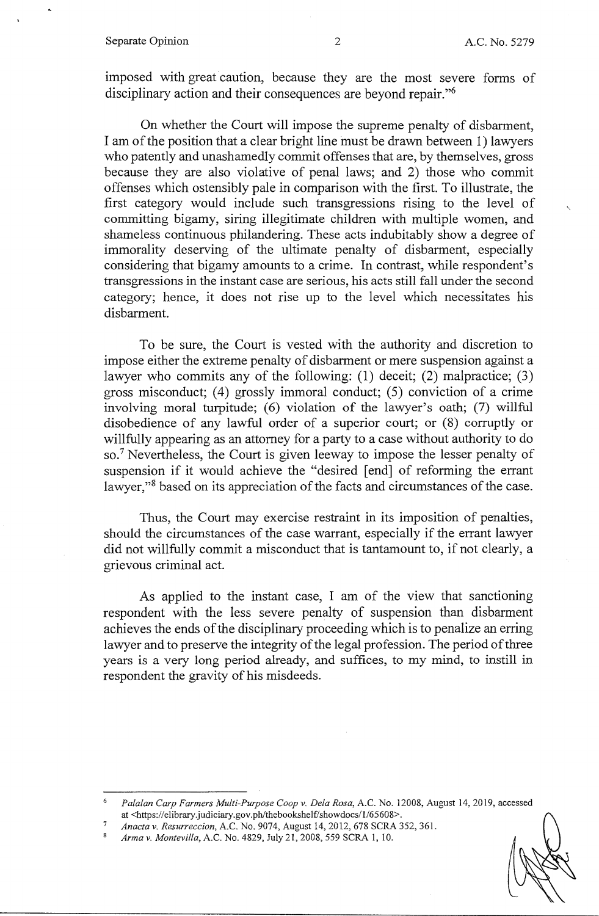### Separate Opinion 2 A.C. No. 5279

imposed with great caution, because they are the most severe forms of disciplinary action and their consequences are beyond repair."<sup>6</sup>

On whether the Court will impose the supreme penalty of disbarment, I am of the position that a clear bright line must be drawn betvveen 1) lawyers who patently and unashamedly commit offenses that are, by themselves, gross because they are also violative of penal laws; and 2) those who commit offenses which ostensibly pale in comparison with the first. To illustrate, the first category would include such transgressions rising to the level of committing bigamy, siring illegitimate children with multiple women, and shameless continuous philandering. These acts indubitably show a degree of immorality deserving of the ultimate penalty of disbarment, especially considering that bigamy amounts to a crime. In contrast, while respondent's transgressions in the instant case are serious, his acts still fall under the second category; hence, it does not rise up to the level which necessitates his disbarment.

To be sure, the Court is vested with the authority and discretion to impose either the extreme penalty of disbarment or mere suspension against a lawyer who commits any of the following: (1) deceit; (2) malpractice; (3) gross misconduct; (4) grossly immoral conduct; (5) conviction of a crime involving moral turpitude; (6) violation of the lawyer's oath; (7) willful disobedience of any lawful order of a superior court; or (8) corruptly or willfully appearing as an attorney for a party to a case without authority to do so.<sup>7</sup> Nevertheless, the Court is given leeway to impose the lesser penalty of suspension if it would achieve the "desired [end] of reforming the errant lawyer,"<sup>8</sup> based on its appreciation of the facts and circumstances of the case.

Thus, the Court may exercise restraint in its imposition of penalties, should the circumstances of the case warrant, especially if the errant lawyer did not willfully commit a misconduct that is tantamount to, if not clearly, a grievous criminal act.

As applied to the instant case, I am of the view that sanctioning respondent with the less severe penalty of suspension than disbarment achieves the ends of the disciplinary proceeding which is to penalize an erring lawyer and to preserve the integrity of the legal profession. The period of three years is a very long period already, and suffices, to my mind, to instill in respondent the gravity of his misdeeds.

<sup>6</sup>*Pala/an Carp Farmers Multi-Purpose Coop v. Dela Rosa,* A.C. No. 12008, August 14, 2019, accessed at <https://elibrary.judiciary.gov.ph/thebookshelf/showdocs/1/65608>.

<sup>7</sup> *Anacta v. Resurreccion,* A.C. No. 9074, August 14, 2012, 678 SCRA 352,361.

<sup>8</sup> *Arma v. Montevilla,* A.C. No. 4829, July 21, 2008, 559 SCRA 1, 10.